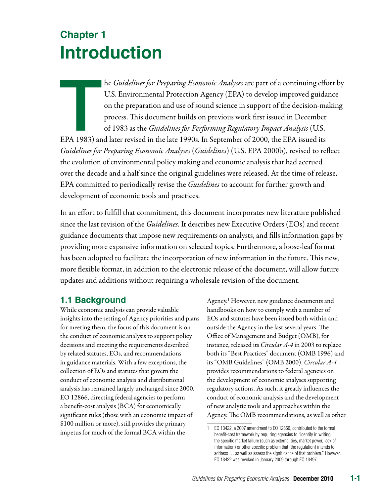# **Chapter 1 Introduction**

he *Guidelines for Preparing Economic Analyses* are part of a continuing effect.<br>U.S. Environmental Protection Agency (EPA) to develop improved guida<br>on the preparation and use of sound science in support of the decision-m he *Guidelines for Preparing Economic Analyses* are part of a continuing effort by U.S. Environmental Protection Agency (EPA) to develop improved guidance on the preparation and use of sound science in support of the decision-making process. This document builds on previous work first issued in December of 1983 as the *Guidelines for Performing Regulatory Impact Analysis* (U.S.

*Guidelines for Preparing Economic Analyses* (*Guidelines*) (U.S. EPA 2000b), revised to reflect the evolution of environmental policy making and economic analysis that had accrued over the decade and a half since the original guidelines were released. At the time of release, EPA committed to periodically revise the *Guidelines* to account for further growth and development of economic tools and practices.

In an effort to fulfill that commitment, this document incorporates new literature published since the last revision of the *Guidelines*. It describes new Executive Orders (EOs) and recent guidance documents that impose new requirements on analysts, and fills information gaps by providing more expansive information on selected topics. Furthermore, a loose-leaf format has been adopted to facilitate the incorporation of new information in the future. This new, more flexible format, in addition to the electronic release of the document, will allow future updates and additions without requiring a wholesale revision of the document.

## **1.1 Background**

While economic analysis can provide valuable handbooks on how to comply with a number of insights into the setting of Agency priorities and plans EOs and statutes have been issued both within and for meeting them, the focus of this document is on outside the Agency in the last several years. The the conduct of economic analysis to support policy Office of Management and Budget (OMB), for decisions and meeting the requirements described instance, released its *Circular A-4* in 2003 to replace by related statutes, EOs, and recommendations both its "Best Practices" document (OMB 1996) and in guidance materials. With a few exceptions, the its "OMB Guidelines" (OMB 2000). *Circular A-4* collection of EOs and statutes that govern the provides recommendations to federal agencies on conduct of economic analysis and distributional the development of economic analyses supporting analysis has remained largely unchanged since 2000. regulatory actions. As such, it greatly influences the EO 12866, directing federal agencies to perform conduct of economic analysis and the development a benefit-cost analysis (BCA) for economically of new analytic tools and approaches within the significant rules (those with an economic impact of Agency. The OMB recommendations, as well as other \$100 million or more), still provides the primary<br>
impetus for much of the formal BCA within the<br>
benefit-cost framework by requiring agencies to "identify in writing

Agency.<sup>1</sup> However, new guidance documents and

the specific market failure (such as externalities, market power, lack of information) or other specific problem that [the regulation] intends to address … as well as assess the significance of that problem." However, EO 13422 was revoked in January 2009 through EO 13497.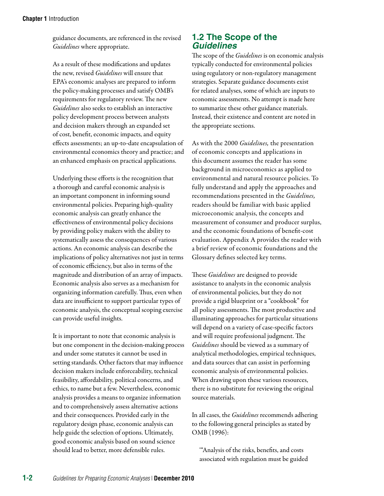guidance documents, are referenced in the revised *Guidelines* where appropriate.

As a result of these modifications and updates the new, revised *Guidelines* will ensure that EPA's economic analyses are prepared to inform the policy-making processes and satisfy OMB's requirements for regulatory review. The new *Guidelines* also seeks to establish an interactive policy development process between analysts and decision makers through an expanded set of cost, benefit, economic impacts, and equity effects assessments; an up-to-date encapsulation of environmental economics theory and practice; and an enhanced emphasis on practical applications.

Underlying these efforts is the recognition that a thorough and careful economic analysis is an important component in informing sound environmental policies. Preparing high-quality economic analysis can greatly enhance the effectiveness of environmental policy decisions by providing policy makers with the ability to systematically assess the consequences of various actions. An economic analysis can describe the implications of policy alternatives not just in terms of economic efficiency, but also in terms of the magnitude and distribution of an array of impacts. Economic analysis also serves as a mechanism for organizing information carefully. Thus, even when data are insufficient to support particular types of economic analysis, the conceptual scoping exercise can provide useful insights.

It is important to note that economic analysis is but one component in the decision-making process and under some statutes it cannot be used in setting standards. Other factors that may influence decision makers include enforceability, technical feasibility, affordability, political concerns, and ethics, to name but a few. Nevertheless, economic analysis provides a means to organize information and to comprehensively assess alternative actions and their consequences. Provided early in the regulatory design phase, economic analysis can help guide the selection of options. Ultimately, good economic analysis based on sound science should lead to better, more defensible rules.

#### **1.2 The Scope of the**  *Guidelines*

The scope of the *Guidelines* is on economic analysis typically conducted for environmental policies using regulatory or non-regulatory management strategies. Separate guidance documents exist for related analyses, some of which are inputs to economic assessments. No attempt is made here to summarize these other guidance materials. Instead, their existence and content are noted in the appropriate sections.

As with the 2000 *Guidelines,* the presentation of economic concepts and applications in this document assumes the reader has some background in microeconomics as applied to environmental and natural resource policies. To fully understand and apply the approaches and recommendations presented in the *Guidelines,*  readers should be familiar with basic applied microeconomic analysis, the concepts and measurement of consumer and producer surplus, and the economic foundations of benefit-cost evaluation. Appendix A provides the reader with a brief review of economic foundations and the Glossary defines selected key terms.

These *Guidelines* are designed to provide assistance to analysts in the economic analysis of environmental policies, but they do not provide a rigid blueprint or a "cookbook" for all policy assessments. The most productive and illuminating approaches for particular situations will depend on a variety of case-specific factors and will require professional judgment. The *Guidelines* should be viewed as a summary of analytical methodologies, empirical techniques, and data sources that can assist in performing economic analysis of environmental policies. When drawing upon these various resources, there is no substitute for reviewing the original source materials.

In all cases, the *Guidelines* recommends adhering to the following general principles as stated by OMB (1996):

'"Analysis of the risks, benefits, and costs associated with regulation must be guided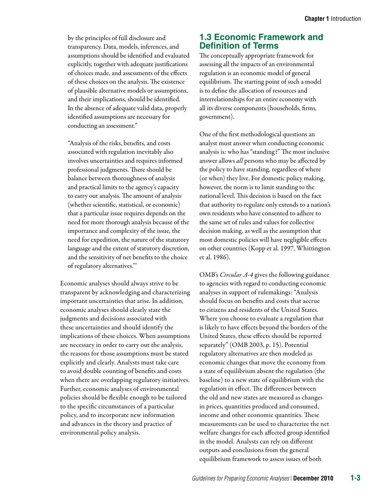by the principles of full disclosure and transparency. Data, models, inferences, and assumptions should be identified and evaluated explicitly, together with adequate justifications of choices made, and assessments of the effects of these choices on the analysis. The existence of plausible alternative models or assumptions, and their implications, should be identified. In the absence of adequate valid data, properly identified assumptions are necessary for conducting an assessment."

"Analysis of the risks, benefits, and costs associated with regulation inevitably also involves uncertainties and requires informed professional judgments. There should be balance between thoroughness of analysis and practical limits to the agency's capacity to carry out analysis. The amount of analysis (whether scientific, statistical, or economic) that a particular issue requires depends on the need for more thorough analysis because of the importance and complexity of the issue, the need for expedition, the nature of the statutory language and the extent of statutory discretion, and the sensitivity of net benefits to the choice of regulatory alternatives."'

Economic analyses should always strive to be transparent by acknowledging and characterizing important uncertainties that arise. In addition, economic analyses should clearly state the judgments and decisions associated with these uncertainties and should identify the implications of these choices. When assumptions are necessary in order to carry out the analysis, the reasons for those assumptions must be stated explicitly and clearly. Analysts must take care to avoid double counting of benefits and costs when there are overlapping regulatory initiatives. Further, economic analyses of environmental policies should be flexible enough to be tailored to the specific circumstances of a particular policy, and to incorporate new information and advances in the theory and practice of environmental policy analysis.

## **1.3 Economic Framework and Definition of Terms**

The conceptually appropriate framework for assessing all the impacts of an environmental regulation is an economic model of general equilibrium. The starting point of such a model is to define the allocation of resources and interrelationships for an entire economy with all its diverse components (households, firms, government).

One of the first methodological questions an analyst must answer when conducting economic analysis is: who has "standing?" The most inclusive answer allows *all* persons who may be affected by the policy to have standing, regardless of where (or when) they live. For domestic policy making, however, the norm is to limit standing to the national level. This decision is based on the fact that authority to regulate only extends to a nation's own residents who have consented to adhere to the same set of rules and values for collective decision making, as well as the assumption that most domestic policies will have negligible effects on other countries (Kopp et al. 1997, Whittington et al. 1986).

OMB's *Circular A-4* gives the following guidance to agencies with regard to conducting economic analyses in support of rulemakings: "Analysis should focus on benefits and costs that accrue to citizens and residents of the United States. Where you choose to evaluate a regulation that is likely to have effects beyond the borders of the United States, these effects should be reported separately" (OMB 2003, p. 15). Potential regulatory alternatives are then modeled as economic changes that move the economy from a state of equilibrium absent the regulation (the baseline) to a new state of equilibrium with the regulation in effect. The differences between the old and new states are measured as changes in prices, quantities produced and consumed, income and other economic quantities. These measurements can be used to characterize the net welfare changes for each affected group identified in the model. Analysts can rely on different outputs and conclusions from the general equilibrium framework to assess issues of both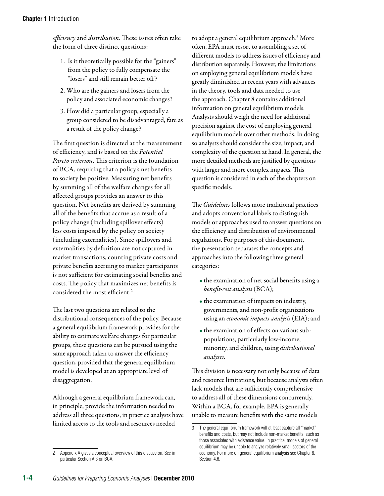*efficiency* and *distribution*. These issues often take the form of three distinct questions:

- 1. Is it theoretically possible for the "gainers" from the policy to fully compensate the "losers" and still remain better off ?
- 2. Who are the gainers and losers from the policy and associated economic changes?
- 3. How did a particular group, especially a group considered to be disadvantaged, fare as a result of the policy change?

The first question is directed at the measurement of efficiency, and is based on the *Potential Pareto criterion*. This criterion is the foundation of BCA, requiring that a policy's net benefits to society be positive. Measuring net benefits by summing all of the welfare changes for all affected groups provides an answer to this question. Net benefits are derived by summing all of the benefits that accrue as a result of a policy change (including spillover effects) less costs imposed by the policy on society (including externalities). Since spillovers and externalities by definition are not captured in market transactions, counting private costs and private benefits accruing to market participants is not sufficient for estimating social benefits and costs. The policy that maximizes net benefits is considered the most efficient.2

The last two questions are related to the distributional consequences of the policy. Because a general equilibrium framework provides for the ability to estimate welfare changes for particular groups, these questions can be pursued using the same approach taken to answer the efficiency question, provided that the general equilibrium model is developed at an appropriate level of disaggregation.

Although a general equilibrium framework can, in principle, provide the information needed to address all three questions, in practice analysts have limited access to the tools and resources needed

Appendix A gives a conceptual overview of this discussion. See in particular Section A.3 on BCA. 2

to adopt a general equilibrium approach.<sup>3</sup> More often, EPA must resort to assembling a set of different models to address issues of efficiency and distribution separately. However, the limitations on employing general equilibrium models have greatly diminished in recent years with advances in the theory, tools and data needed to use the approach. Chapter 8 contains additional information on general equilibrium models. Analysts should weigh the need for additional precision against the cost of employing general equilibrium models over other methods. In doing so analysts should consider the size, impact, and complexity of the question at hand. In general, the more detailed methods are justified by questions with larger and more complex impacts. This question is considered in each of the chapters on specific models.

The *Guidelines* follows more traditional practices and adopts conventional labels to distinguish models or approaches used to answer questions on the efficiency and distribution of environmental regulations. For purposes of this document, the presentation separates the concepts and approaches into the following three general categories:

- the examination of net social benefits using a *benefit-cost analysis* (BCA);
- the examination of impacts on industry, governments, and non-profit organizations using an *economic impacts analysis* (EIA); and
- the examination of effects on various subpopulations, particularly low-income, minority, and children, using *distributional analyses*.

This division is necessary not only because of data and resource limitations, but because analysts often lack models that are sufficiently comprehensive to address all of these dimensions concurrently. Within a BCA, for example, EPA is generally unable to measure benefits with the same models

<sup>3</sup> The general equilibrium framework will at least capture all "market" benefits and costs, but may not include non-market benefits, such as those associated with existence value. In practice, models of general equilibrium may be unable to analyze relatively small sectors of the economy. For more on general equilibrium analysis see Chapter 8, Section 4.6.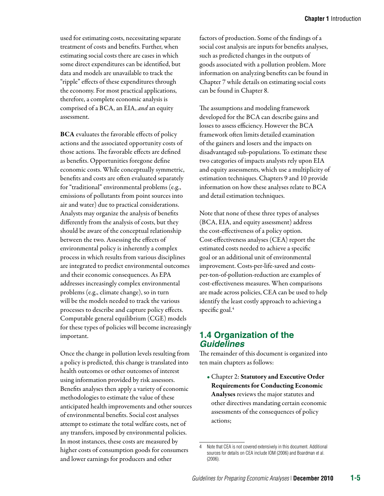used for estimating costs, necessitating separate treatment of costs and benefits. Further, when estimating social costs there are cases in which some direct expenditures can be identified, but data and models are unavailable to track the "ripple" effects of these expenditures through the economy. For most practical applications, therefore, a complete economic analysis is comprised of a BCA, an EIA, *and* an equity assessment.

BCA evaluates the favorable effects of policy actions and the associated opportunity costs of those actions. The favorable effects are defined as benefits. Opportunities foregone define economic costs. While conceptually symmetric, benefits and costs are often evaluated separately for "traditional" environmental problems (e.g., emissions of pollutants from point sources into air and water) due to practical considerations. Analysts may organize the analysis of benefits differently from the analysis of costs, but they should be aware of the conceptual relationship between the two. Assessing the effects of environmental policy is inherently a complex process in which results from various disciplines are integrated to predict environmental outcomes and their economic consequences. As EPA addresses increasingly complex environmental problems (e.g., climate change), so in turn will be the models needed to track the various processes to describe and capture policy effects. Computable general equilibrium (CGE) models for these types of policies will become increasingly important.

Once the change in pollution levels resulting from a policy is predicted, this change is translated into health outcomes or other outcomes of interest using information provided by risk assessors. Benefits analyses then apply a variety of economic methodologies to estimate the value of these anticipated health improvements and other sources of environmental benefits. Social cost analyses attempt to estimate the total welfare costs, net of any transfers, imposed by environmental policies. In most instances, these costs are measured by higher costs of consumption goods for consumers and lower earnings for producers and other

factors of production. Some of the findings of a social cost analysis are inputs for benefits analyses, such as predicted changes in the outputs of goods associated with a pollution problem. More information on analyzing benefits can be found in Chapter 7 while details on estimating social costs can be found in Chapter 8.

The assumptions and modeling framework developed for the BCA can describe gains and losses to assess efficiency. However the BCA framework often limits detailed examination of the gainers and losers and the impacts on disadvantaged sub-populations. To estimate these two categories of impacts analysts rely upon EIA and equity assessments, which use a multiplicity of estimation techniques. Chapters 9 and 10 provide information on how these analyses relate to BCA and detail estimation techniques.

Note that none of these three types of analyses (BCA, EIA, and equity assessment) address the cost-effectiveness of a policy option. Cost-effectiveness analyses (CEA) report the estimated costs needed to achieve a specific goal or an additional unit of environmental improvement. Costs-per-life-saved and costsper-ton-of-pollution-reduction are examples of cost-effectiveness measures. When comparisons are made across policies, CEA can be used to help identify the least costly approach to achieving a specific goal. $4$ 

#### **1.4 Organization of the**  *Guidelines*

The remainder of this document is organized into ten main chapters as follows:

• Chapter 2: Statutory and Executive Order Requirements for Conducting Economic Analyses reviews the major statutes and other directives mandating certain economic assessments of the consequences of policy actions;

Note that CEA is not covered extensively in this document. Additional sources for details on CEA include IOM (2006) and Boardman et al. (2006).